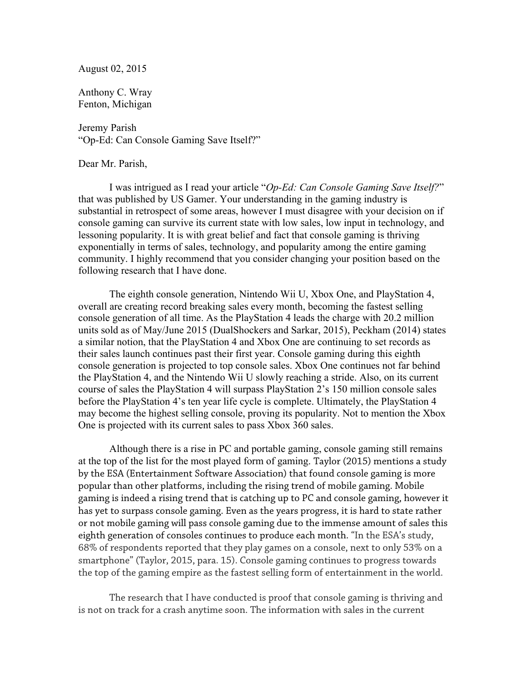August 02, 2015

Anthony C. Wray Fenton, Michigan

Jeremy Parish "Op-Ed: Can Console Gaming Save Itself?"

Dear Mr. Parish,

I was intrigued as I read your article "*Op-Ed: Can Console Gaming Save Itself?*" that was published by US Gamer. Your understanding in the gaming industry is substantial in retrospect of some areas, however I must disagree with your decision on if console gaming can survive its current state with low sales, low input in technology, and lessoning popularity. It is with great belief and fact that console gaming is thriving exponentially in terms of sales, technology, and popularity among the entire gaming community. I highly recommend that you consider changing your position based on the following research that I have done.

The eighth console generation, Nintendo Wii U, Xbox One, and PlayStation 4, overall are creating record breaking sales every month, becoming the fastest selling console generation of all time. As the PlayStation 4 leads the charge with 20.2 million units sold as of May/June 2015 (DualShockers and Sarkar, 2015), Peckham (2014) states a similar notion, that the PlayStation 4 and Xbox One are continuing to set records as their sales launch continues past their first year. Console gaming during this eighth console generation is projected to top console sales. Xbox One continues not far behind the PlayStation 4, and the Nintendo Wii U slowly reaching a stride. Also, on its current course of sales the PlayStation 4 will surpass PlayStation 2's 150 million console sales before the PlayStation 4's ten year life cycle is complete. Ultimately, the PlayStation 4 may become the highest selling console, proving its popularity. Not to mention the Xbox One is projected with its current sales to pass Xbox 360 sales.

Although there is a rise in PC and portable gaming, console gaming still remains at the top of the list for the most played form of gaming. Taylor (2015) mentions a study by the ESA (Entertainment Software Association) that found console gaming is more popular than other platforms, including the rising trend of mobile gaming. Mobile gaming is indeed a rising trend that is catching up to PC and console gaming, however it has yet to surpass console gaming. Even as the years progress, it is hard to state rather or not mobile gaming will pass console gaming due to the immense amount of sales this eighth generation of consoles continues to produce each month. "In the ESA's study, 68% of respondents reported that they play games on a console, next to only 53% on a smartphone" (Taylor, 2015, para. 15). Console gaming continues to progress towards the top of the gaming empire as the fastest selling form of entertainment in the world.

The research that I have conducted is proof that console gaming is thriving and is not on track for a crash anytime soon. The information with sales in the current